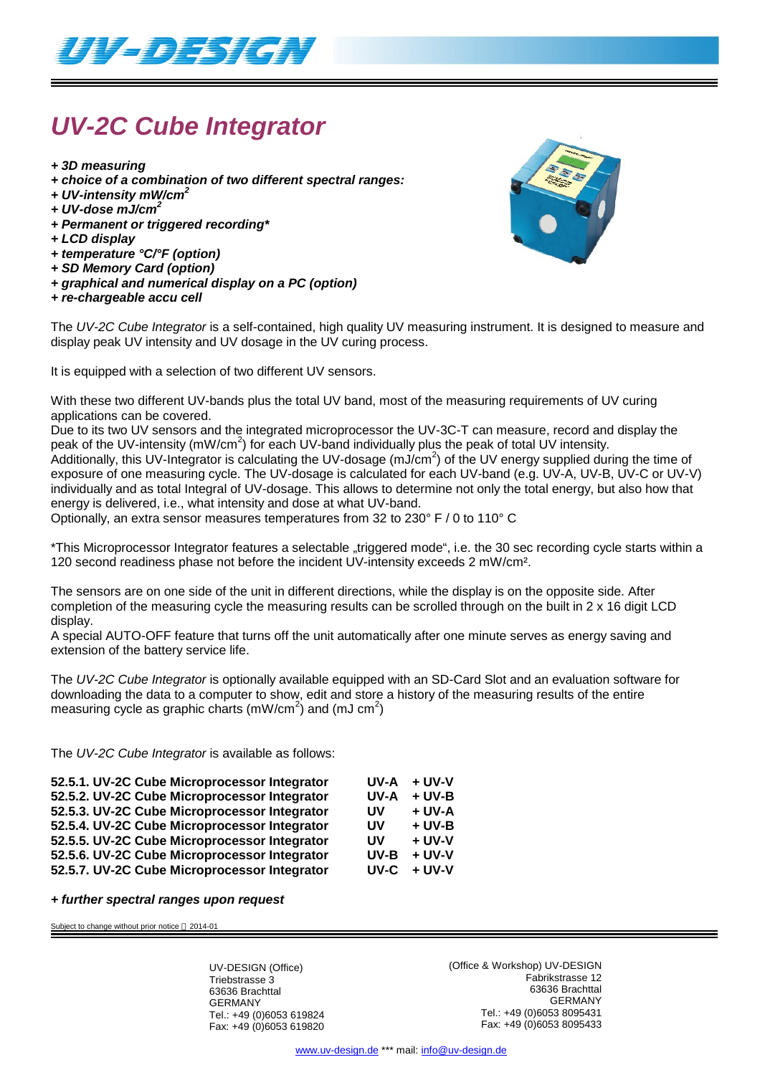

# *UV-2C Cube Integrator*

- *+ 3D measuring*
- *+ choice of a combination of two different spectral ranges:*
- *+ UV-intensity mW/cm<sup>2</sup>*
- *+ UV-dose mJ/cm<sup>2</sup>*
- *+ Permanent or triggered recording\**
- *+ LCD display*
- *+ temperature °C/°F (option)*
- *+ SD Memory Card (option)*
- *+ graphical and numerical display on a PC (option)*
- *+ re-chargeable accu cell*



The *UV-2C Cube Integrator* is a self-contained, high quality UV measuring instrument. It is designed to measure and display peak UV intensity and UV dosage in the UV curing process.

It is equipped with a selection of two different UV sensors.

With these two different UV-bands plus the total UV band, most of the measuring requirements of UV curing applications can be covered.

Due to its two UV sensors and the integrated microprocessor the UV-3C-T can measure, record and display the peak of the UV-intensity (mW/cm<sup>2</sup>) for each UV-band individually plus the peak of total UV intensity. .<br>Additionally, this UV-Integrator is calculating the UV-dosage (mJ/cm<sup>2</sup>) of the UV energy supplied during the time of exposure of one measuring cycle. The UV-dosage is calculated for each UV-band (e.g. UV-A, UV-B, UV-C or UV-V) individually and as total Integral of UV-dosage. This allows to determine not only the total energy, but also how that energy is delivered, i.e., what intensity and dose at what UV-band.

Optionally, an extra sensor measures temperatures from 32 to 230° F / 0 to 110° C

\*This Microprocessor Integrator features a selectable "triggered mode", i.e. the 30 sec recording cycle starts within a 120 second readiness phase not before the incident UV-intensity exceeds 2 mW/cm².

The sensors are on one side of the unit in different directions, while the display is on the opposite side. After completion of the measuring cycle the measuring results can be scrolled through on the built in 2 x 16 digit LCD display.

A special AUTO-OFF feature that turns off the unit automatically after one minute serves as energy saving and extension of the battery service life.

The *UV-2C Cube Integrator* is optionally available equipped with an SD-Card Slot and an evaluation software for downloading the data to a computer to show, edit and store a history of the measuring results of the entire measuring cycle as graphic charts (mW/cm<sup>2</sup>) and (mJ cm<sup>2</sup>)

The *UV-2C Cube Integrator* is available as follows:

| 52.5.1. UV-2C Cube Microprocessor Integrator | UV-A | + UV-V   |
|----------------------------------------------|------|----------|
| 52.5.2. UV-2C Cube Microprocessor Integrator | UV-A | $+$ UV-B |
| 52.5.3. UV-2C Cube Microprocessor Integrator | UV   | + UV-A   |
| 52.5.4. UV-2C Cube Microprocessor Integrator | UV   | $+$ UV-B |
| 52.5.5. UV-2C Cube Microprocessor Integrator | UV   | $+$ UV-V |
| 52.5.6. UV-2C Cube Microprocessor Integrator | UV-B | $+$ UV-V |
| 52.5.7. UV-2C Cube Microprocessor Integrator | UV-C | $+$ UV-V |
|                                              |      |          |

#### *+ further spectral ranges upon request*

Subject to change without prior notice  $@$  2014-01

UV-DESIGN (Office) Triebstrasse 3 63636 Brachttal GERMANY Tel.: +49 (0)6053 619824 Fax: +49 (0)6053 619820